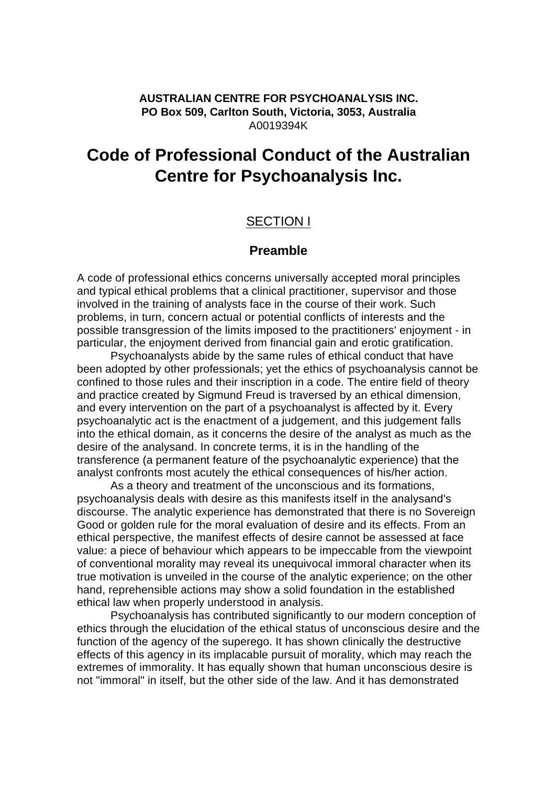#### **AUSTRALIAN CENTRE FOR PSYCHOANALYSIS INC. PO Box 509, Carlton South, Victoria, 3053, Australia** A0019394K

# **Code of Professional Conduct of the Australian Centre for Psychoanalysis Inc.**

## SECTION I

### **Preamble**

A code of professional ethics concerns universally accepted moral principles and typical ethical problems that a clinical practitioner, supervisor and those involved in the training of analysts face in the course of their work. Such problems, in turn, concern actual or potential conflicts of interests and the possible transgression of the limits imposed to the practitioners' enjoyment - in particular, the enjoyment derived from financial gain and erotic gratification.

Psychoanalysts abide by the same rules of ethical conduct that have been adopted by other professionals; yet the ethics of psychoanalysis cannot be confined to those rules and their inscription in a code. The entire field of theory and practice created by Sigmund Freud is traversed by an ethical dimension, and every intervention on the part of a psychoanalyst is affected by it. Every psychoanalytic act is the enactment of a judgement, and this judgement falls into the ethical domain, as it concerns the desire of the analyst as much as the desire of the analysand. In concrete terms, it is in the handling of the transference (a permanent feature of the psychoanalytic experience) that the analyst confronts most acutely the ethical consequences of his/her action.

As a theory and treatment of the unconscious and its formations, psychoanalysis deals with desire as this manifests itself in the analysand's discourse. The analytic experience has demonstrated that there is no Sovereign Good or golden rule for the moral evaluation of desire and its effects. From an ethical perspective, the manifest effects of desire cannot be assessed at face value: a piece of behaviour which appears to be impeccable from the viewpoint of conventional morality may reveal its unequivocal immoral character when its true motivation is unveiled in the course of the analytic experience; on the other hand, reprehensible actions may show a solid foundation in the established ethical law when properly understood in analysis.

Psychoanalysis has contributed significantly to our modern conception of ethics through the elucidation of the ethical status of unconscious desire and the function of the agency of the superego. It has shown clinically the destructive effects of this agency in its implacable pursuit of morality, which may reach the extremes of immorality. It has equally shown that human unconscious desire is not "immoral" in itself, but the other side of the law. And it has demonstrated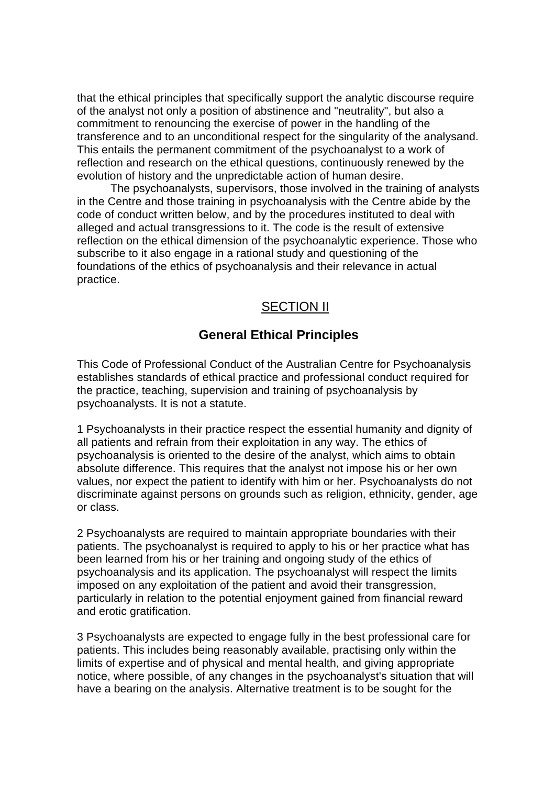that the ethical principles that specifically support the analytic discourse require of the analyst not only a position of abstinence and "neutrality", but also a commitment to renouncing the exercise of power in the handling of the transference and to an unconditional respect for the singularity of the analysand. This entails the permanent commitment of the psychoanalyst to a work of reflection and research on the ethical questions, continuously renewed by the evolution of history and the unpredictable action of human desire.

The psychoanalysts, supervisors, those involved in the training of analysts in the Centre and those training in psychoanalysis with the Centre abide by the code of conduct written below, and by the procedures instituted to deal with alleged and actual transgressions to it. The code is the result of extensive reflection on the ethical dimension of the psychoanalytic experience. Those who subscribe to it also engage in a rational study and questioning of the foundations of the ethics of psychoanalysis and their relevance in actual practice.

## SECTION II

## **General Ethical Principles**

This Code of Professional Conduct of the Australian Centre for Psychoanalysis establishes standards of ethical practice and professional conduct required for the practice, teaching, supervision and training of psychoanalysis by psychoanalysts. It is not a statute.

1 Psychoanalysts in their practice respect the essential humanity and dignity of all patients and refrain from their exploitation in any way. The ethics of psychoanalysis is oriented to the desire of the analyst, which aims to obtain absolute difference. This requires that the analyst not impose his or her own values, nor expect the patient to identify with him or her. Psychoanalysts do not discriminate against persons on grounds such as religion, ethnicity, gender, age or class.

2 Psychoanalysts are required to maintain appropriate boundaries with their patients. The psychoanalyst is required to apply to his or her practice what has been learned from his or her training and ongoing study of the ethics of psychoanalysis and its application. The psychoanalyst will respect the limits imposed on any exploitation of the patient and avoid their transgression, particularly in relation to the potential enjoyment gained from financial reward and erotic gratification.

3 Psychoanalysts are expected to engage fully in the best professional care for patients. This includes being reasonably available, practising only within the limits of expertise and of physical and mental health, and giving appropriate notice, where possible, of any changes in the psychoanalyst's situation that will have a bearing on the analysis. Alternative treatment is to be sought for the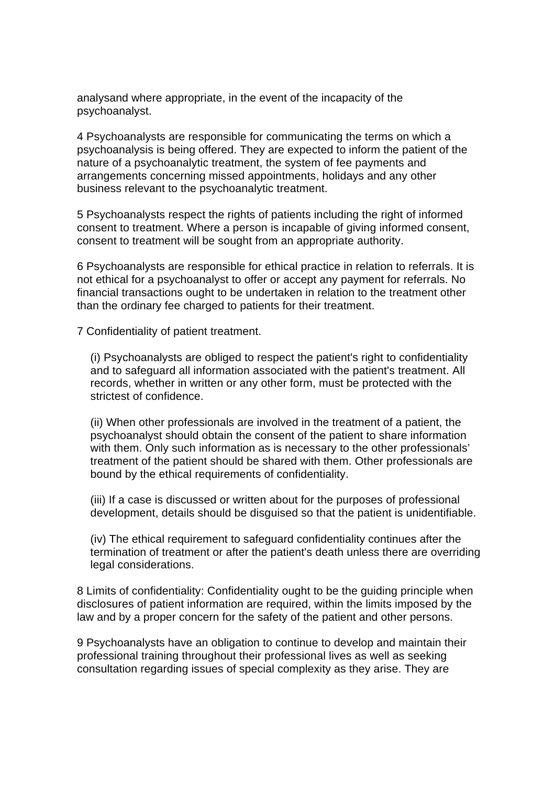analysand where appropriate, in the event of the incapacity of the psychoanalyst.

4 Psychoanalysts are responsible for communicating the terms on which a psychoanalysis is being offered. They are expected to inform the patient of the nature of a psychoanalytic treatment, the system of fee payments and arrangements concerning missed appointments, holidays and any other business relevant to the psychoanalytic treatment.

5 Psychoanalysts respect the rights of patients including the right of informed consent to treatment. Where a person is incapable of giving informed consent, consent to treatment will be sought from an appropriate authority.

6 Psychoanalysts are responsible for ethical practice in relation to referrals. It is not ethical for a psychoanalyst to offer or accept any payment for referrals. No financial transactions ought to be undertaken in relation to the treatment other than the ordinary fee charged to patients for their treatment.

7 Confidentiality of patient treatment.

(i) Psychoanalysts are obliged to respect the patient's right to confidentiality and to safeguard all information associated with the patient's treatment. All records, whether in written or any other form, must be protected with the strictest of confidence.

(ii) When other professionals are involved in the treatment of a patient, the psychoanalyst should obtain the consent of the patient to share information with them. Only such information as is necessary to the other professionals' treatment of the patient should be shared with them. Other professionals are bound by the ethical requirements of confidentiality.

(iii) If a case is discussed or written about for the purposes of professional development, details should be disguised so that the patient is unidentifiable.

(iv) The ethical requirement to safeguard confidentiality continues after the termination of treatment or after the patient's death unless there are overriding legal considerations.

8 Limits of confidentiality: Confidentiality ought to be the guiding principle when disclosures of patient information are required, within the limits imposed by the law and by a proper concern for the safety of the patient and other persons.

9 Psychoanalysts have an obligation to continue to develop and maintain their professional training throughout their professional lives as well as seeking consultation regarding issues of special complexity as they arise. They are